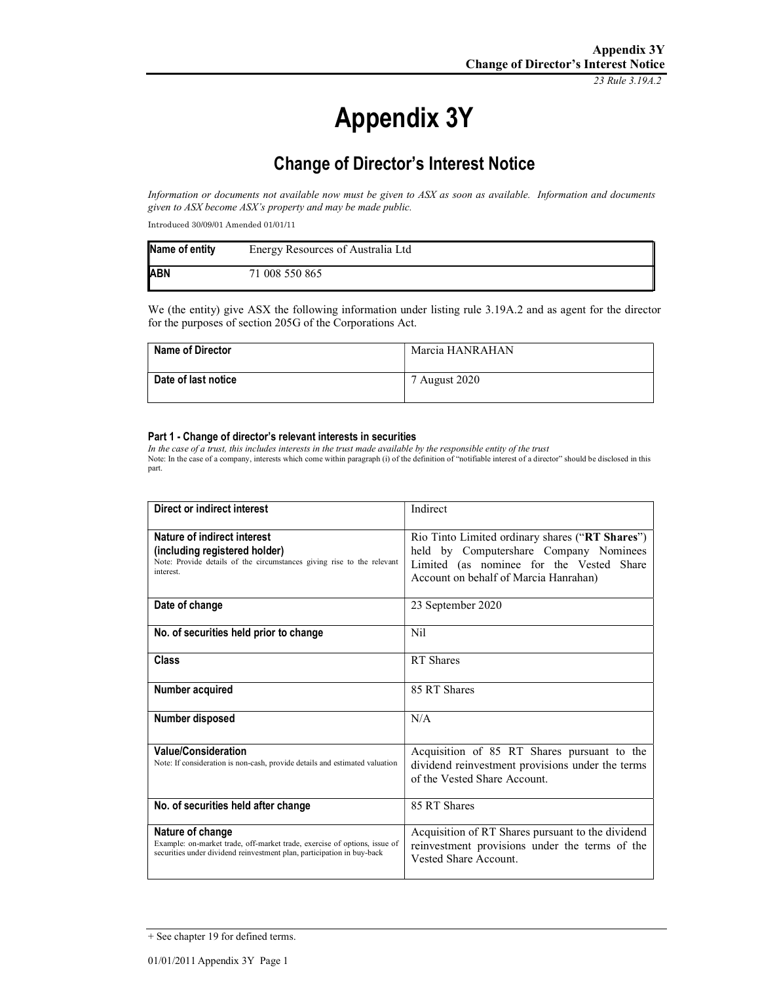23 Rule 3.19A.2

# Appendix 3Y

# Change of Director's Interest Notice

Information or documents not available now must be given to ASX as soon as available. Information and documents given to ASX become ASX's property and may be made public.

Introduced 30/09/01 Amended 01/01/11

| Name of entity | Energy Resources of Australia Ltd |
|----------------|-----------------------------------|
| <b>ABN</b>     | 71 008 550 865                    |

We (the entity) give ASX the following information under listing rule 3.19A.2 and as agent for the director for the purposes of section 205G of the Corporations Act.

| <b>Name of Director</b> | Marcia HANRAHAN |
|-------------------------|-----------------|
| Date of last notice     | 7 August 2020   |

#### Part 1 - Change of director's relevant interests in securities

In the case of a trust, this includes interests in the trust made available by the responsible entity of the trust Note: In the case of a company, interests which come within paragraph (i) of the definition of "notifiable interest of a director" should be disclosed in this part.

| Direct or indirect interest                                                                                                                                             | Indirect                                                                                                                                                                       |
|-------------------------------------------------------------------------------------------------------------------------------------------------------------------------|--------------------------------------------------------------------------------------------------------------------------------------------------------------------------------|
| Nature of indirect interest<br>(including registered holder)<br>Note: Provide details of the circumstances giving rise to the relevant<br>interest.                     | Rio Tinto Limited ordinary shares ("RT Shares")<br>held by Computershare Company Nominees<br>Limited (as nominee for the Vested Share<br>Account on behalf of Marcia Hanrahan) |
| Date of change                                                                                                                                                          | 23 September 2020                                                                                                                                                              |
| No. of securities held prior to change                                                                                                                                  | Nil                                                                                                                                                                            |
| Class                                                                                                                                                                   | RT Shares                                                                                                                                                                      |
| Number acquired                                                                                                                                                         | 85 RT Shares                                                                                                                                                                   |
| Number disposed                                                                                                                                                         | N/A                                                                                                                                                                            |
| <b>Value/Consideration</b><br>Note: If consideration is non-cash, provide details and estimated valuation                                                               | Acquisition of 85 RT Shares pursuant to the<br>dividend reinvestment provisions under the terms<br>of the Vested Share Account.                                                |
| No. of securities held after change                                                                                                                                     | 85 RT Shares                                                                                                                                                                   |
| Nature of change<br>Example: on-market trade, off-market trade, exercise of options, issue of<br>securities under dividend reinvestment plan, participation in buy-back | Acquisition of RT Shares pursuant to the dividend<br>reinvestment provisions under the terms of the<br>Vested Share Account.                                                   |

<sup>+</sup> See chapter 19 for defined terms.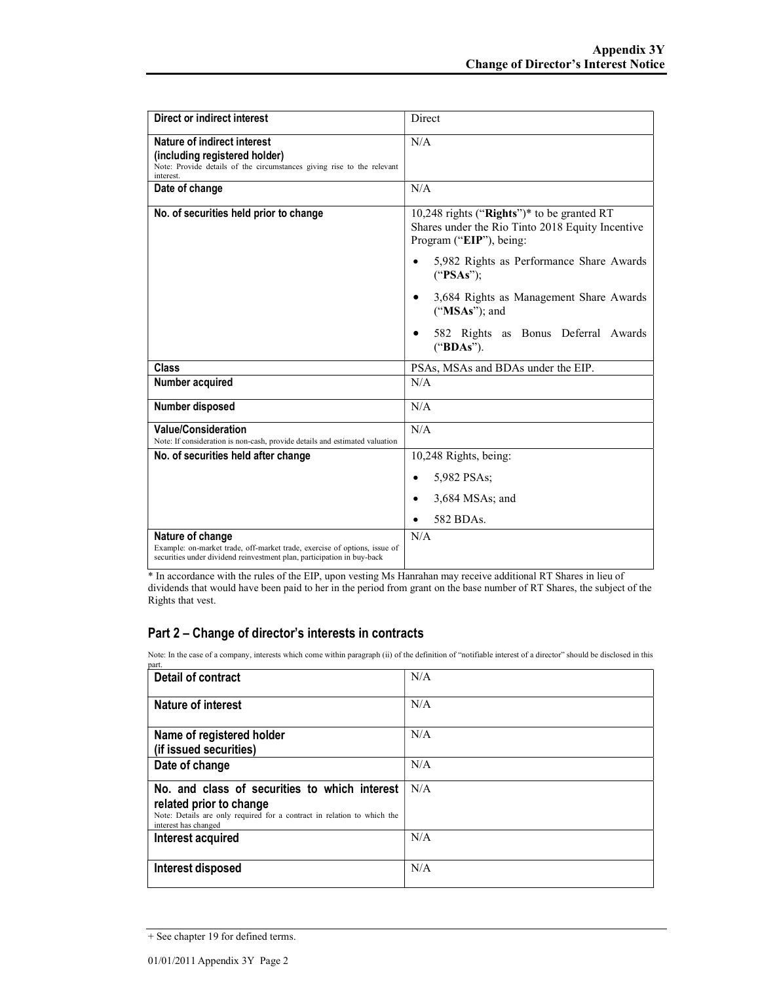| Direct or indirect interest                                                                                                                                             | Direct                                                                                                                    |
|-------------------------------------------------------------------------------------------------------------------------------------------------------------------------|---------------------------------------------------------------------------------------------------------------------------|
| Nature of indirect interest<br>(including registered holder)<br>Note: Provide details of the circumstances giving rise to the relevant<br>interest.                     | N/A                                                                                                                       |
| Date of change                                                                                                                                                          | N/A                                                                                                                       |
| No. of securities held prior to change                                                                                                                                  | 10,248 rights ("Rights")* to be granted RT<br>Shares under the Rio Tinto 2018 Equity Incentive<br>Program ("EIP"), being: |
|                                                                                                                                                                         | 5,982 Rights as Performance Share Awards<br>$\bullet$<br>("PSAs");                                                        |
|                                                                                                                                                                         | 3,684 Rights as Management Share Awards<br>$("MSAs")$ ; and                                                               |
|                                                                                                                                                                         | 582 Rights as Bonus Deferral Awards<br>("BDAs").                                                                          |
| Class                                                                                                                                                                   | PSAs, MSAs and BDAs under the EIP.                                                                                        |
| Number acquired                                                                                                                                                         | N/A                                                                                                                       |
| Number disposed                                                                                                                                                         | N/A                                                                                                                       |
| <b>Value/Consideration</b><br>Note: If consideration is non-cash, provide details and estimated valuation                                                               | N/A                                                                                                                       |
| No. of securities held after change                                                                                                                                     | 10,248 Rights, being:                                                                                                     |
|                                                                                                                                                                         | 5,982 PSAs;<br>$\bullet$                                                                                                  |
|                                                                                                                                                                         | $3,684$ MSAs; and<br>$\bullet$                                                                                            |
|                                                                                                                                                                         | 582 BDAs.                                                                                                                 |
| Nature of change<br>Example: on-market trade, off-market trade, exercise of options, issue of<br>securities under dividend reinvestment plan, participation in buy-back | N/A                                                                                                                       |

\* In accordance with the rules of the EIP, upon vesting Ms Hanrahan may receive additional RT Shares in lieu of dividends that would have been paid to her in the period from grant on the base number of RT Shares, the subject of the Rights that vest.

### Part 2 – Change of director's interests in contracts

Note: In the case of a company, interests which come within paragraph (ii) of the definition of "notifiable interest of a director" should be disclosed in this part.

| Detail of contract                                                                                                                                                          | N/A |
|-----------------------------------------------------------------------------------------------------------------------------------------------------------------------------|-----|
| <b>Nature of interest</b>                                                                                                                                                   | N/A |
| Name of registered holder<br>(if issued securities)                                                                                                                         | N/A |
| Date of change                                                                                                                                                              | N/A |
| No. and class of securities to which interest<br>related prior to change<br>Note: Details are only required for a contract in relation to which the<br>interest has changed | N/A |
| Interest acquired                                                                                                                                                           | N/A |
| Interest disposed                                                                                                                                                           | N/A |

<sup>+</sup> See chapter 19 for defined terms.